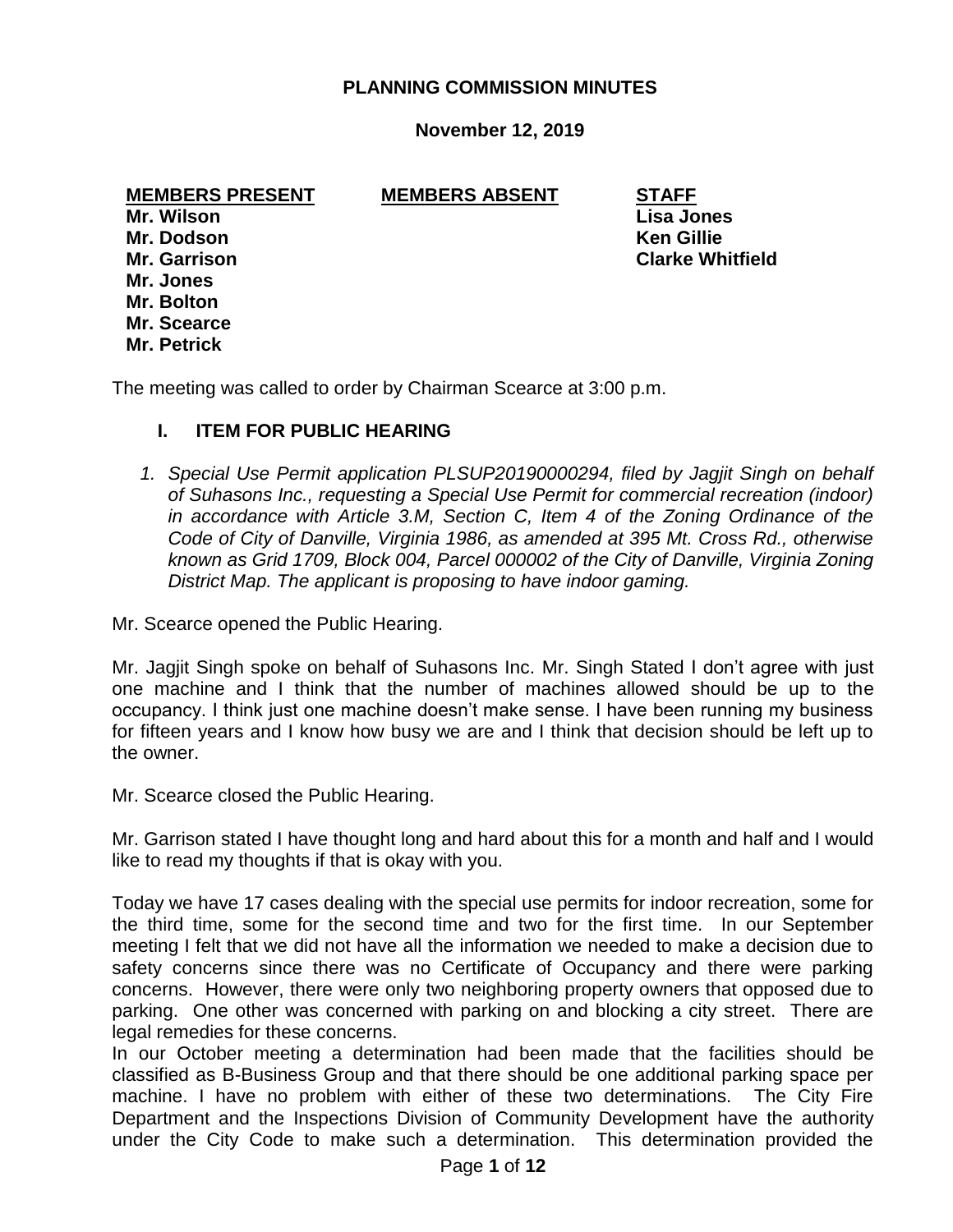## **PLANNING COMMISSION MINUTES**

## **November 12, 2019**

**MEMBERS PRESENT MEMBERS ABSENT STAFF**

**Mr. Wilson Lisa Jones Mr. Dodson Ken Gillie Mr. Jones Mr. Bolton Mr. Scearce Mr. Petrick**

**Mr. Garrison Clarke Whitfield**

The meeting was called to order by Chairman Scearce at 3:00 p.m.

## **I. ITEM FOR PUBLIC HEARING**

*1. Special Use Permit application PLSUP20190000294, filed by Jagjit Singh on behalf of Suhasons Inc., requesting a Special Use Permit for commercial recreation (indoor) in accordance with Article 3.M, Section C, Item 4 of the Zoning Ordinance of the Code of City of Danville, Virginia 1986, as amended at 395 Mt. Cross Rd., otherwise known as Grid 1709, Block 004, Parcel 000002 of the City of Danville, Virginia Zoning District Map. The applicant is proposing to have indoor gaming.*

Mr. Scearce opened the Public Hearing.

Mr. Jagjit Singh spoke on behalf of Suhasons Inc. Mr. Singh Stated I don't agree with just one machine and I think that the number of machines allowed should be up to the occupancy. I think just one machine doesn't make sense. I have been running my business for fifteen years and I know how busy we are and I think that decision should be left up to the owner.

Mr. Scearce closed the Public Hearing.

Mr. Garrison stated I have thought long and hard about this for a month and half and I would like to read my thoughts if that is okay with you.

Today we have 17 cases dealing with the special use permits for indoor recreation, some for the third time, some for the second time and two for the first time. In our September meeting I felt that we did not have all the information we needed to make a decision due to safety concerns since there was no Certificate of Occupancy and there were parking concerns. However, there were only two neighboring property owners that opposed due to parking. One other was concerned with parking on and blocking a city street. There are legal remedies for these concerns.

In our October meeting a determination had been made that the facilities should be classified as B-Business Group and that there should be one additional parking space per machine. I have no problem with either of these two determinations. The City Fire Department and the Inspections Division of Community Development have the authority under the City Code to make such a determination. This determination provided the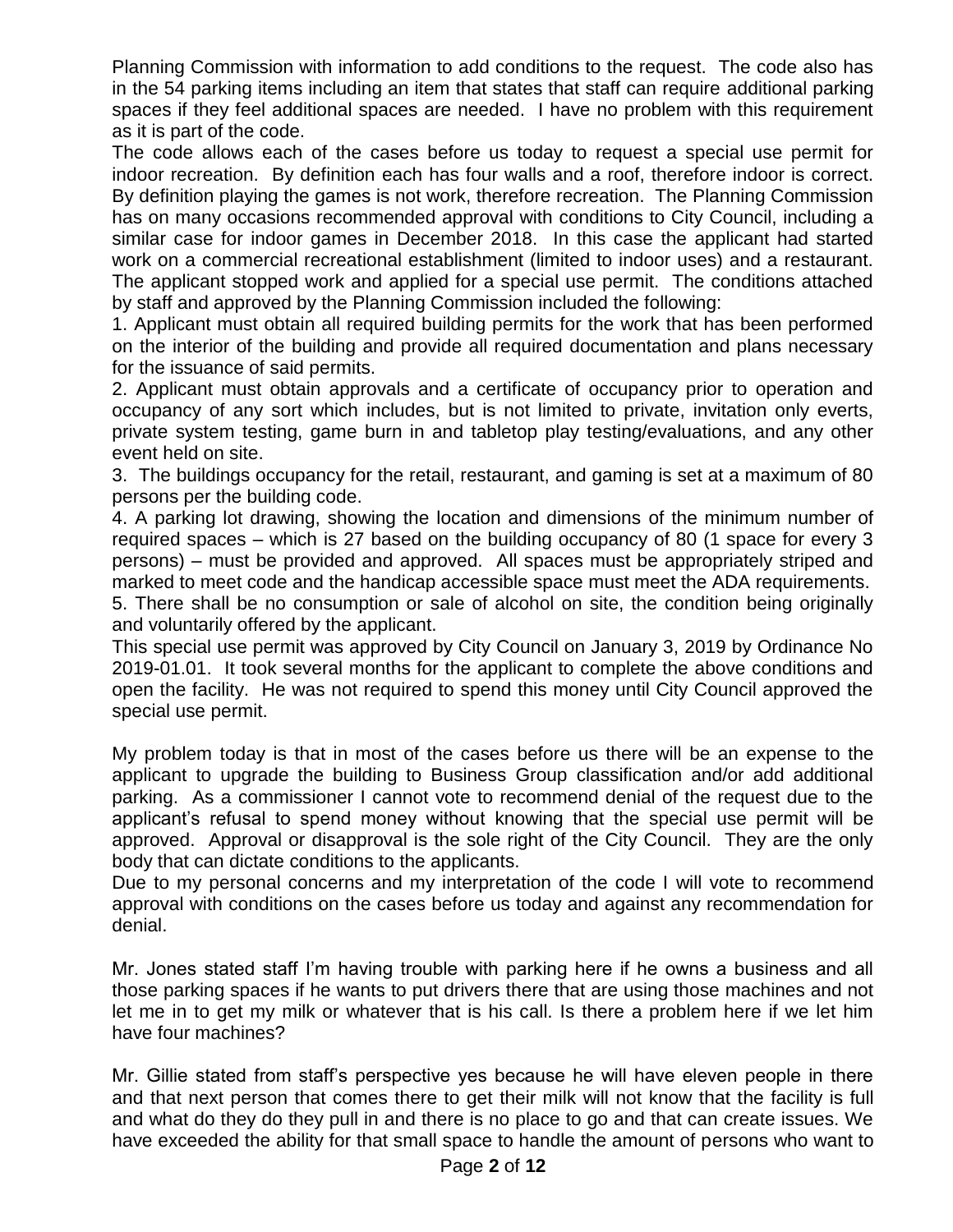Planning Commission with information to add conditions to the request. The code also has in the 54 parking items including an item that states that staff can require additional parking spaces if they feel additional spaces are needed. I have no problem with this requirement as it is part of the code.

The code allows each of the cases before us today to request a special use permit for indoor recreation. By definition each has four walls and a roof, therefore indoor is correct. By definition playing the games is not work, therefore recreation. The Planning Commission has on many occasions recommended approval with conditions to City Council, including a similar case for indoor games in December 2018. In this case the applicant had started work on a commercial recreational establishment (limited to indoor uses) and a restaurant. The applicant stopped work and applied for a special use permit. The conditions attached by staff and approved by the Planning Commission included the following:

1. Applicant must obtain all required building permits for the work that has been performed on the interior of the building and provide all required documentation and plans necessary for the issuance of said permits.

2. Applicant must obtain approvals and a certificate of occupancy prior to operation and occupancy of any sort which includes, but is not limited to private, invitation only everts, private system testing, game burn in and tabletop play testing/evaluations, and any other event held on site.

3. The buildings occupancy for the retail, restaurant, and gaming is set at a maximum of 80 persons per the building code.

4. A parking lot drawing, showing the location and dimensions of the minimum number of required spaces – which is 27 based on the building occupancy of 80 (1 space for every 3 persons) – must be provided and approved. All spaces must be appropriately striped and marked to meet code and the handicap accessible space must meet the ADA requirements.

5. There shall be no consumption or sale of alcohol on site, the condition being originally and voluntarily offered by the applicant.

This special use permit was approved by City Council on January 3, 2019 by Ordinance No 2019-01.01. It took several months for the applicant to complete the above conditions and open the facility. He was not required to spend this money until City Council approved the special use permit.

My problem today is that in most of the cases before us there will be an expense to the applicant to upgrade the building to Business Group classification and/or add additional parking. As a commissioner I cannot vote to recommend denial of the request due to the applicant's refusal to spend money without knowing that the special use permit will be approved. Approval or disapproval is the sole right of the City Council. They are the only body that can dictate conditions to the applicants.

Due to my personal concerns and my interpretation of the code I will vote to recommend approval with conditions on the cases before us today and against any recommendation for denial.

Mr. Jones stated staff I'm having trouble with parking here if he owns a business and all those parking spaces if he wants to put drivers there that are using those machines and not let me in to get my milk or whatever that is his call. Is there a problem here if we let him have four machines?

Mr. Gillie stated from staff's perspective yes because he will have eleven people in there and that next person that comes there to get their milk will not know that the facility is full and what do they do they pull in and there is no place to go and that can create issues. We have exceeded the ability for that small space to handle the amount of persons who want to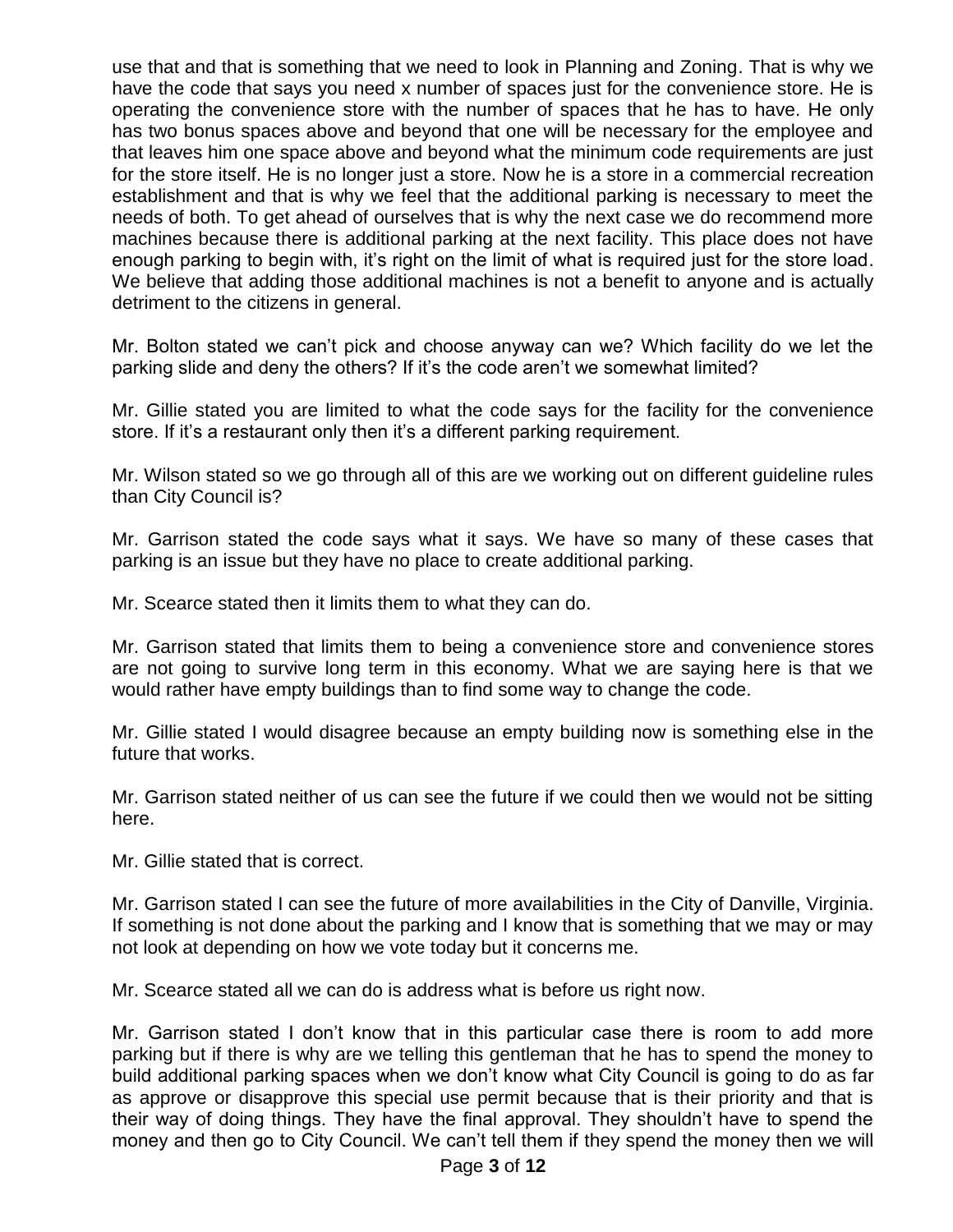use that and that is something that we need to look in Planning and Zoning. That is why we have the code that says you need x number of spaces just for the convenience store. He is operating the convenience store with the number of spaces that he has to have. He only has two bonus spaces above and beyond that one will be necessary for the employee and that leaves him one space above and beyond what the minimum code requirements are just for the store itself. He is no longer just a store. Now he is a store in a commercial recreation establishment and that is why we feel that the additional parking is necessary to meet the needs of both. To get ahead of ourselves that is why the next case we do recommend more machines because there is additional parking at the next facility. This place does not have enough parking to begin with, it's right on the limit of what is required just for the store load. We believe that adding those additional machines is not a benefit to anyone and is actually detriment to the citizens in general.

Mr. Bolton stated we can't pick and choose anyway can we? Which facility do we let the parking slide and deny the others? If it's the code aren't we somewhat limited?

Mr. Gillie stated you are limited to what the code says for the facility for the convenience store. If it's a restaurant only then it's a different parking requirement.

Mr. Wilson stated so we go through all of this are we working out on different guideline rules than City Council is?

Mr. Garrison stated the code says what it says. We have so many of these cases that parking is an issue but they have no place to create additional parking.

Mr. Scearce stated then it limits them to what they can do.

Mr. Garrison stated that limits them to being a convenience store and convenience stores are not going to survive long term in this economy. What we are saying here is that we would rather have empty buildings than to find some way to change the code.

Mr. Gillie stated I would disagree because an empty building now is something else in the future that works.

Mr. Garrison stated neither of us can see the future if we could then we would not be sitting here.

Mr. Gillie stated that is correct.

Mr. Garrison stated I can see the future of more availabilities in the City of Danville, Virginia. If something is not done about the parking and I know that is something that we may or may not look at depending on how we vote today but it concerns me.

Mr. Scearce stated all we can do is address what is before us right now.

Mr. Garrison stated I don't know that in this particular case there is room to add more parking but if there is why are we telling this gentleman that he has to spend the money to build additional parking spaces when we don't know what City Council is going to do as far as approve or disapprove this special use permit because that is their priority and that is their way of doing things. They have the final approval. They shouldn't have to spend the money and then go to City Council. We can't tell them if they spend the money then we will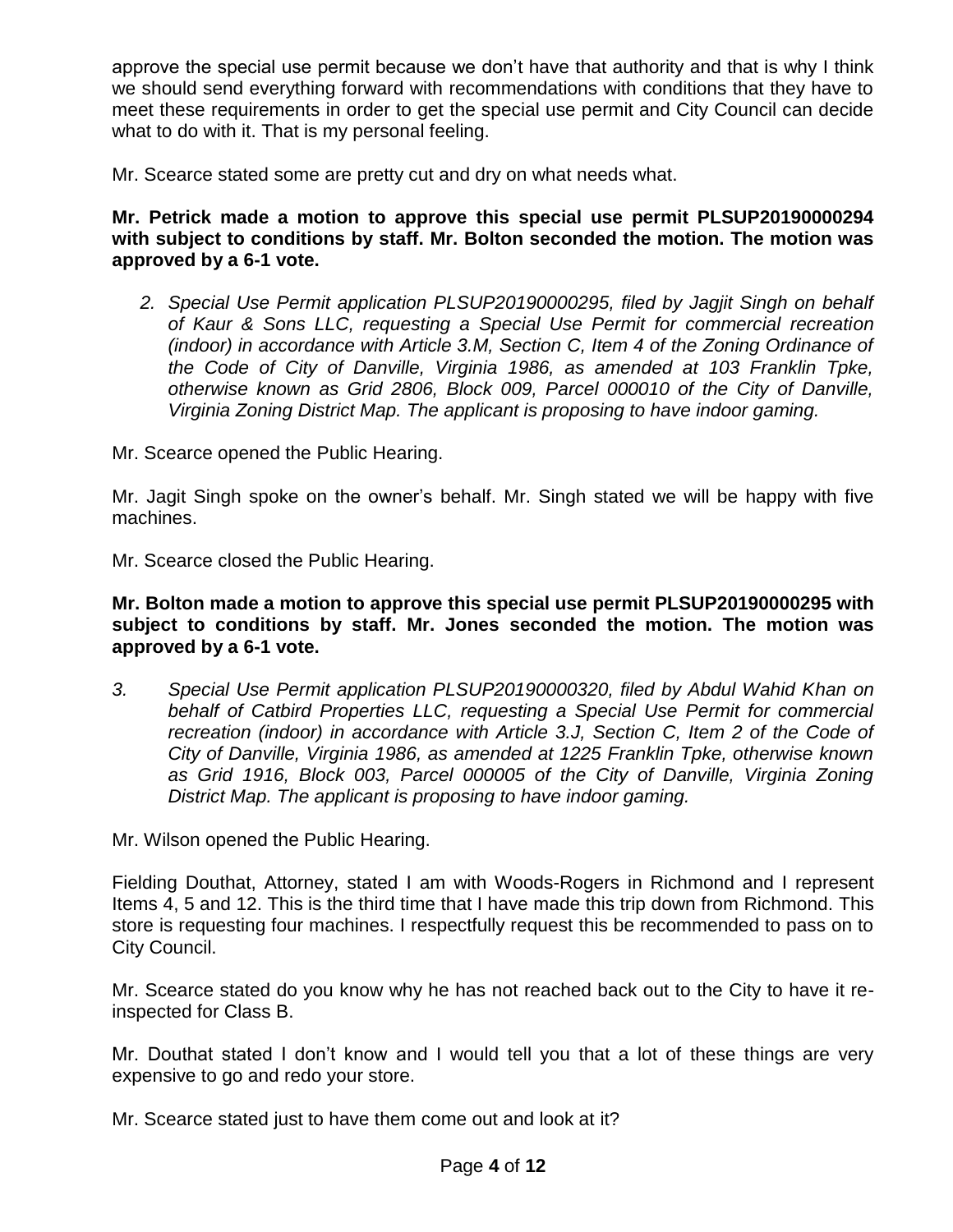approve the special use permit because we don't have that authority and that is why I think we should send everything forward with recommendations with conditions that they have to meet these requirements in order to get the special use permit and City Council can decide what to do with it. That is my personal feeling.

Mr. Scearce stated some are pretty cut and dry on what needs what.

**Mr. Petrick made a motion to approve this special use permit PLSUP20190000294 with subject to conditions by staff. Mr. Bolton seconded the motion. The motion was approved by a 6-1 vote.**

*2. Special Use Permit application PLSUP20190000295, filed by Jagjit Singh on behalf of Kaur & Sons LLC, requesting a Special Use Permit for commercial recreation (indoor) in accordance with Article 3.M, Section C, Item 4 of the Zoning Ordinance of the Code of City of Danville, Virginia 1986, as amended at 103 Franklin Tpke, otherwise known as Grid 2806, Block 009, Parcel 000010 of the City of Danville, Virginia Zoning District Map. The applicant is proposing to have indoor gaming.*

Mr. Scearce opened the Public Hearing.

Mr. Jagit Singh spoke on the owner's behalf. Mr. Singh stated we will be happy with five machines.

Mr. Scearce closed the Public Hearing.

#### **Mr. Bolton made a motion to approve this special use permit PLSUP20190000295 with subject to conditions by staff. Mr. Jones seconded the motion. The motion was approved by a 6-1 vote.**

*3. Special Use Permit application PLSUP20190000320, filed by Abdul Wahid Khan on behalf of Catbird Properties LLC, requesting a Special Use Permit for commercial recreation (indoor) in accordance with Article 3.J, Section C, Item 2 of the Code of City of Danville, Virginia 1986, as amended at 1225 Franklin Tpke, otherwise known as Grid 1916, Block 003, Parcel 000005 of the City of Danville, Virginia Zoning District Map. The applicant is proposing to have indoor gaming.*

Mr. Wilson opened the Public Hearing.

Fielding Douthat, Attorney, stated I am with Woods-Rogers in Richmond and I represent Items 4, 5 and 12. This is the third time that I have made this trip down from Richmond. This store is requesting four machines. I respectfully request this be recommended to pass on to City Council.

Mr. Scearce stated do you know why he has not reached back out to the City to have it reinspected for Class B.

Mr. Douthat stated I don't know and I would tell you that a lot of these things are very expensive to go and redo your store.

Mr. Scearce stated just to have them come out and look at it?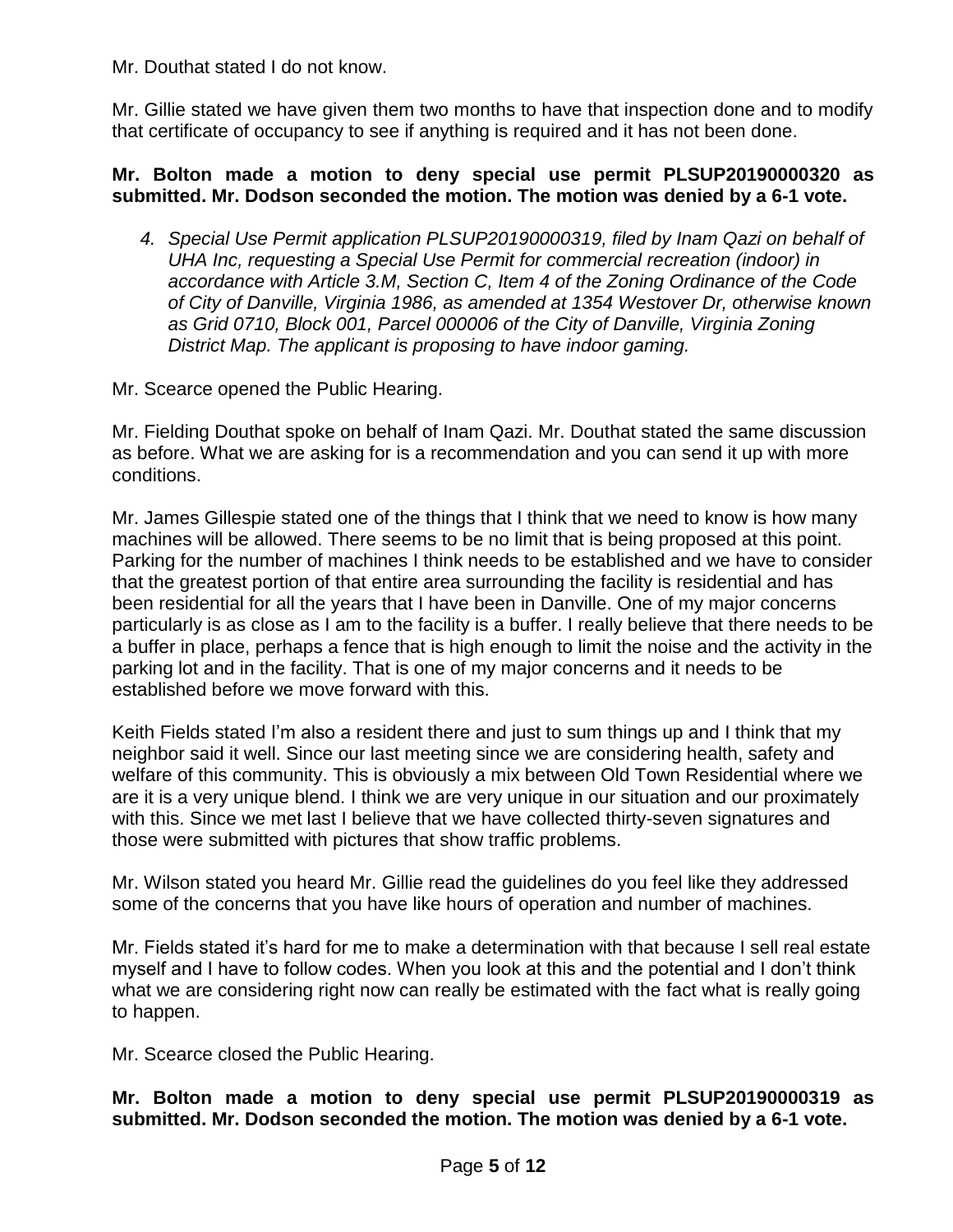Mr. Douthat stated I do not know.

Mr. Gillie stated we have given them two months to have that inspection done and to modify that certificate of occupancy to see if anything is required and it has not been done.

## **Mr. Bolton made a motion to deny special use permit PLSUP20190000320 as submitted. Mr. Dodson seconded the motion. The motion was denied by a 6-1 vote.**

*4. Special Use Permit application PLSUP20190000319, filed by Inam Qazi on behalf of UHA Inc, requesting a Special Use Permit for commercial recreation (indoor) in accordance with Article 3.M, Section C, Item 4 of the Zoning Ordinance of the Code of City of Danville, Virginia 1986, as amended at 1354 Westover Dr, otherwise known as Grid 0710, Block 001, Parcel 000006 of the City of Danville, Virginia Zoning District Map. The applicant is proposing to have indoor gaming.*

Mr. Scearce opened the Public Hearing.

Mr. Fielding Douthat spoke on behalf of Inam Qazi. Mr. Douthat stated the same discussion as before. What we are asking for is a recommendation and you can send it up with more conditions.

Mr. James Gillespie stated one of the things that I think that we need to know is how many machines will be allowed. There seems to be no limit that is being proposed at this point. Parking for the number of machines I think needs to be established and we have to consider that the greatest portion of that entire area surrounding the facility is residential and has been residential for all the years that I have been in Danville. One of my major concerns particularly is as close as I am to the facility is a buffer. I really believe that there needs to be a buffer in place, perhaps a fence that is high enough to limit the noise and the activity in the parking lot and in the facility. That is one of my major concerns and it needs to be established before we move forward with this.

Keith Fields stated I'm also a resident there and just to sum things up and I think that my neighbor said it well. Since our last meeting since we are considering health, safety and welfare of this community. This is obviously a mix between Old Town Residential where we are it is a very unique blend. I think we are very unique in our situation and our proximately with this. Since we met last I believe that we have collected thirty-seven signatures and those were submitted with pictures that show traffic problems.

Mr. Wilson stated you heard Mr. Gillie read the guidelines do you feel like they addressed some of the concerns that you have like hours of operation and number of machines.

Mr. Fields stated it's hard for me to make a determination with that because I sell real estate myself and I have to follow codes. When you look at this and the potential and I don't think what we are considering right now can really be estimated with the fact what is really going to happen.

Mr. Scearce closed the Public Hearing.

**Mr. Bolton made a motion to deny special use permit PLSUP20190000319 as submitted. Mr. Dodson seconded the motion. The motion was denied by a 6-1 vote.**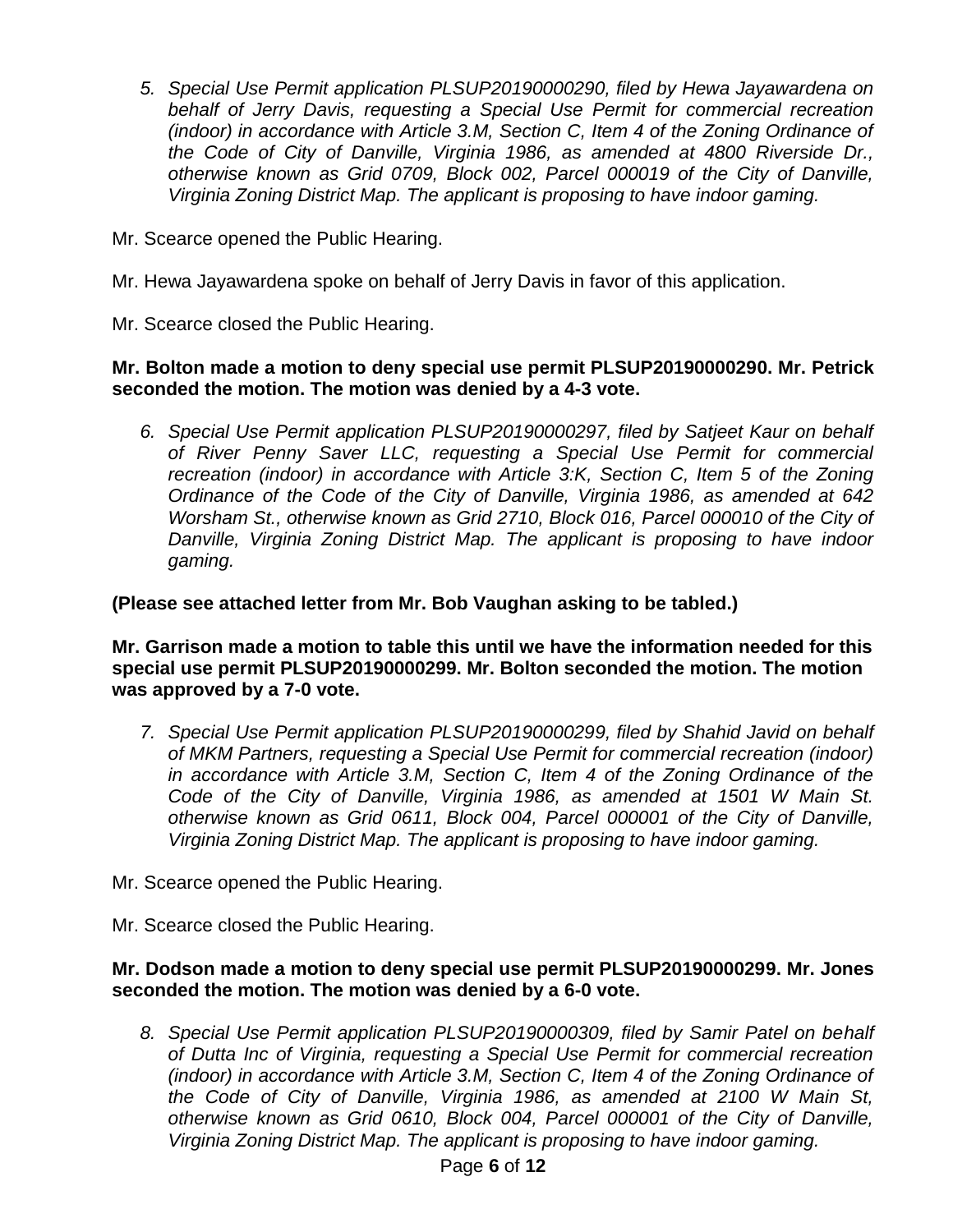*5. Special Use Permit application PLSUP20190000290, filed by Hewa Jayawardena on behalf of Jerry Davis, requesting a Special Use Permit for commercial recreation (indoor) in accordance with Article 3.M, Section C, Item 4 of the Zoning Ordinance of the Code of City of Danville, Virginia 1986, as amended at 4800 Riverside Dr., otherwise known as Grid 0709, Block 002, Parcel 000019 of the City of Danville, Virginia Zoning District Map. The applicant is proposing to have indoor gaming.*

Mr. Scearce opened the Public Hearing.

- Mr. Hewa Jayawardena spoke on behalf of Jerry Davis in favor of this application.
- Mr. Scearce closed the Public Hearing.

## **Mr. Bolton made a motion to deny special use permit PLSUP20190000290. Mr. Petrick seconded the motion. The motion was denied by a 4-3 vote.**

*6. Special Use Permit application PLSUP20190000297, filed by Satjeet Kaur on behalf of River Penny Saver LLC, requesting a Special Use Permit for commercial recreation (indoor) in accordance with Article 3:K, Section C, Item 5 of the Zoning Ordinance of the Code of the City of Danville, Virginia 1986, as amended at 642 Worsham St., otherwise known as Grid 2710, Block 016, Parcel 000010 of the City of Danville, Virginia Zoning District Map. The applicant is proposing to have indoor gaming.*

## **(Please see attached letter from Mr. Bob Vaughan asking to be tabled.)**

**Mr. Garrison made a motion to table this until we have the information needed for this special use permit PLSUP20190000299. Mr. Bolton seconded the motion. The motion was approved by a 7-0 vote.**

*7. Special Use Permit application PLSUP20190000299, filed by Shahid Javid on behalf of MKM Partners, requesting a Special Use Permit for commercial recreation (indoor) in accordance with Article 3.M, Section C, Item 4 of the Zoning Ordinance of the Code of the City of Danville, Virginia 1986, as amended at 1501 W Main St. otherwise known as Grid 0611, Block 004, Parcel 000001 of the City of Danville, Virginia Zoning District Map. The applicant is proposing to have indoor gaming.*

Mr. Scearce opened the Public Hearing.

Mr. Scearce closed the Public Hearing.

## **Mr. Dodson made a motion to deny special use permit PLSUP20190000299. Mr. Jones seconded the motion. The motion was denied by a 6-0 vote.**

*8. Special Use Permit application PLSUP20190000309, filed by Samir Patel on behalf of Dutta Inc of Virginia, requesting a Special Use Permit for commercial recreation (indoor) in accordance with Article 3.M, Section C, Item 4 of the Zoning Ordinance of the Code of City of Danville, Virginia 1986, as amended at 2100 W Main St, otherwise known as Grid 0610, Block 004, Parcel 000001 of the City of Danville, Virginia Zoning District Map. The applicant is proposing to have indoor gaming.*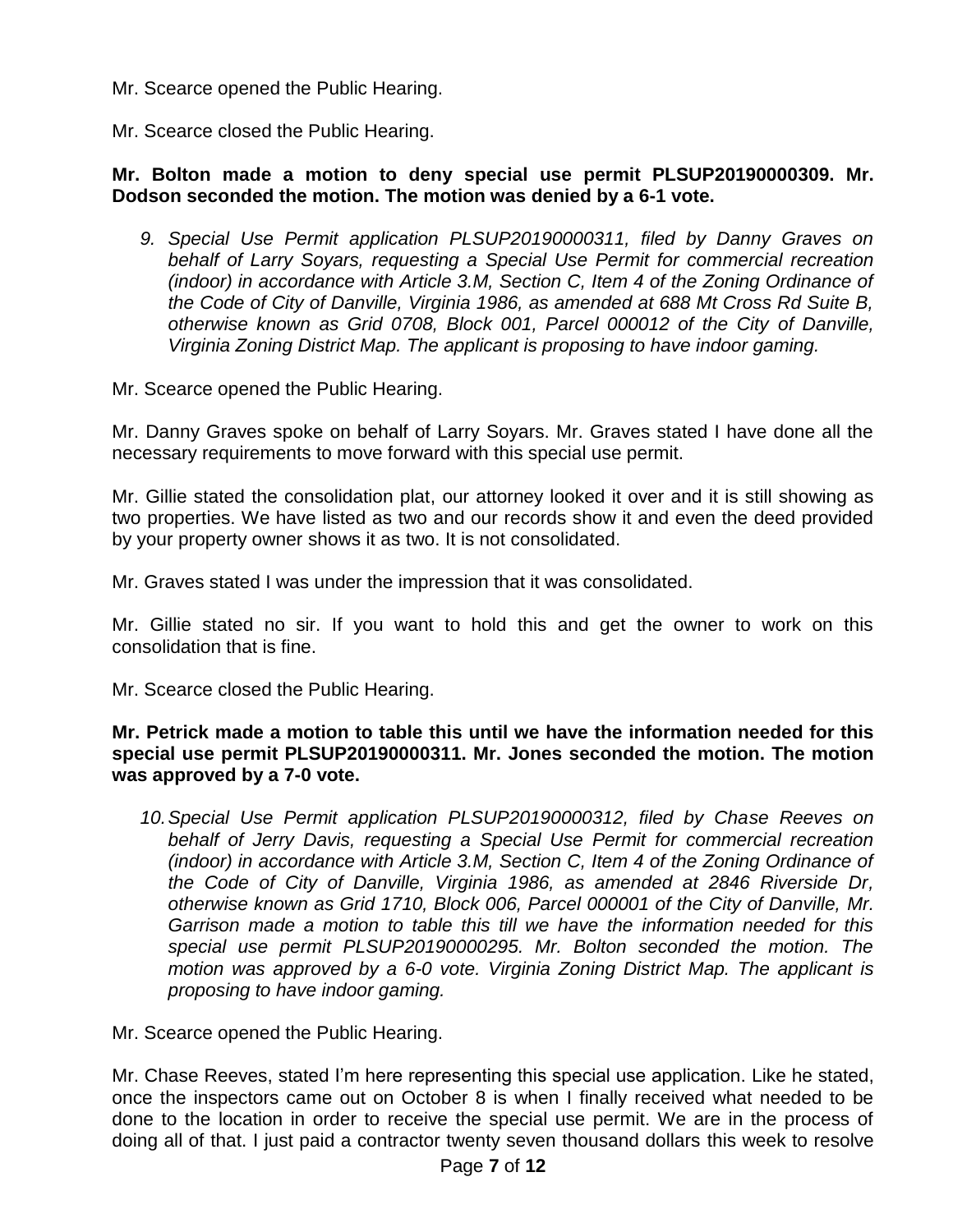Mr. Scearce opened the Public Hearing.

Mr. Scearce closed the Public Hearing.

## **Mr. Bolton made a motion to deny special use permit PLSUP20190000309. Mr. Dodson seconded the motion. The motion was denied by a 6-1 vote.**

*9. Special Use Permit application PLSUP20190000311, filed by Danny Graves on behalf of Larry Soyars, requesting a Special Use Permit for commercial recreation (indoor) in accordance with Article 3.M, Section C, Item 4 of the Zoning Ordinance of the Code of City of Danville, Virginia 1986, as amended at 688 Mt Cross Rd Suite B, otherwise known as Grid 0708, Block 001, Parcel 000012 of the City of Danville, Virginia Zoning District Map. The applicant is proposing to have indoor gaming.*

Mr. Scearce opened the Public Hearing.

Mr. Danny Graves spoke on behalf of Larry Soyars. Mr. Graves stated I have done all the necessary requirements to move forward with this special use permit.

Mr. Gillie stated the consolidation plat, our attorney looked it over and it is still showing as two properties. We have listed as two and our records show it and even the deed provided by your property owner shows it as two. It is not consolidated.

Mr. Graves stated I was under the impression that it was consolidated.

Mr. Gillie stated no sir. If you want to hold this and get the owner to work on this consolidation that is fine.

Mr. Scearce closed the Public Hearing.

**Mr. Petrick made a motion to table this until we have the information needed for this special use permit PLSUP20190000311. Mr. Jones seconded the motion. The motion was approved by a 7-0 vote.**

*10.Special Use Permit application PLSUP20190000312, filed by Chase Reeves on behalf of Jerry Davis, requesting a Special Use Permit for commercial recreation (indoor) in accordance with Article 3.M, Section C, Item 4 of the Zoning Ordinance of the Code of City of Danville, Virginia 1986, as amended at 2846 Riverside Dr, otherwise known as Grid 1710, Block 006, Parcel 000001 of the City of Danville, Mr. Garrison made a motion to table this till we have the information needed for this special use permit PLSUP20190000295. Mr. Bolton seconded the motion. The motion was approved by a 6-0 vote. Virginia Zoning District Map. The applicant is proposing to have indoor gaming.*

Mr. Scearce opened the Public Hearing.

Mr. Chase Reeves, stated I'm here representing this special use application. Like he stated, once the inspectors came out on October 8 is when I finally received what needed to be done to the location in order to receive the special use permit. We are in the process of doing all of that. I just paid a contractor twenty seven thousand dollars this week to resolve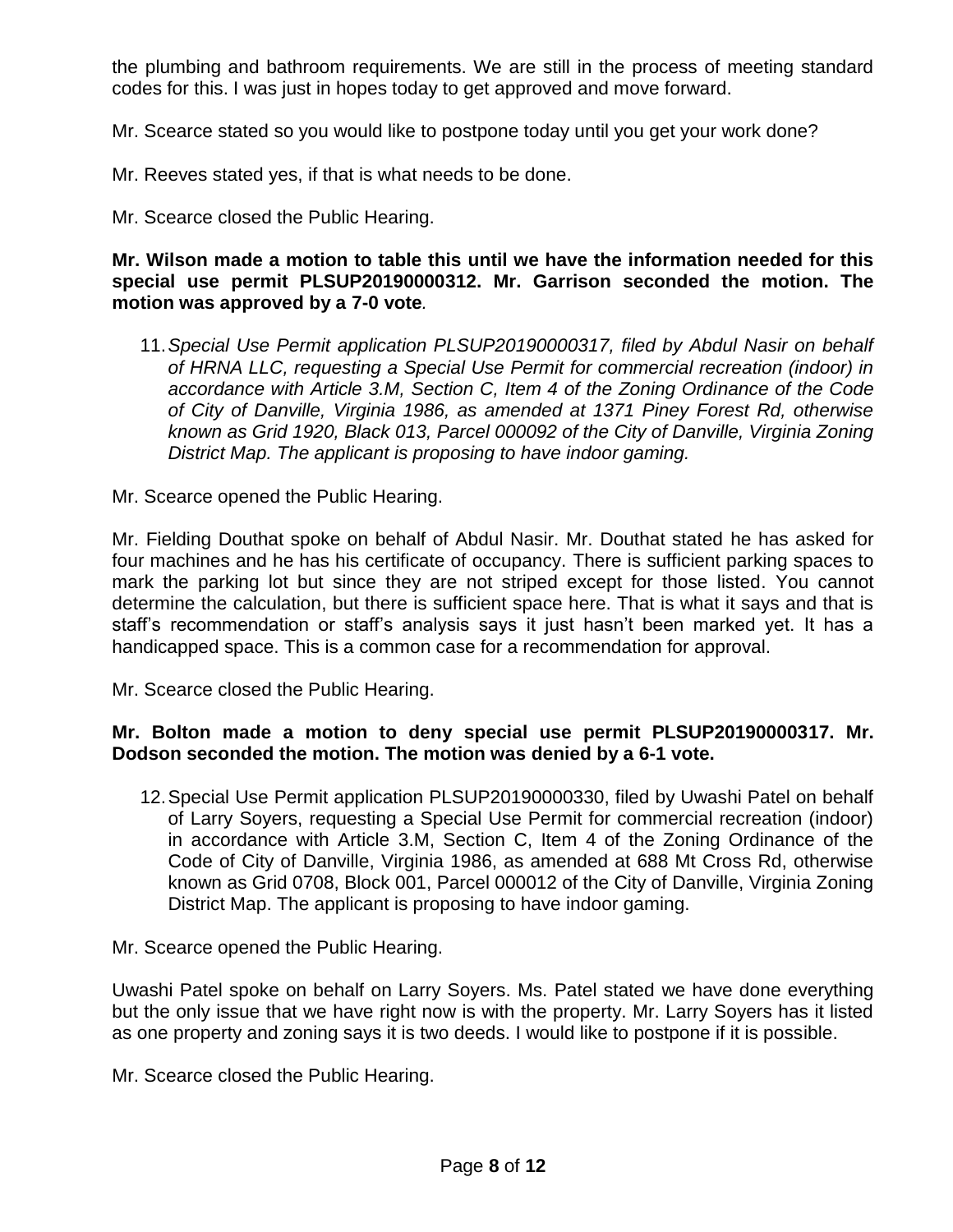the plumbing and bathroom requirements. We are still in the process of meeting standard codes for this. I was just in hopes today to get approved and move forward.

Mr. Scearce stated so you would like to postpone today until you get your work done?

Mr. Reeves stated yes, if that is what needs to be done.

Mr. Scearce closed the Public Hearing.

#### **Mr. Wilson made a motion to table this until we have the information needed for this special use permit PLSUP20190000312. Mr. Garrison seconded the motion. The motion was approved by a 7-0 vote***.*

11.*Special Use Permit application PLSUP20190000317, filed by Abdul Nasir on behalf of HRNA LLC, requesting a Special Use Permit for commercial recreation (indoor) in accordance with Article 3.M, Section C, Item 4 of the Zoning Ordinance of the Code of City of Danville, Virginia 1986, as amended at 1371 Piney Forest Rd, otherwise known as Grid 1920, Black 013, Parcel 000092 of the City of Danville, Virginia Zoning District Map. The applicant is proposing to have indoor gaming.*

Mr. Scearce opened the Public Hearing.

Mr. Fielding Douthat spoke on behalf of Abdul Nasir. Mr. Douthat stated he has asked for four machines and he has his certificate of occupancy. There is sufficient parking spaces to mark the parking lot but since they are not striped except for those listed. You cannot determine the calculation, but there is sufficient space here. That is what it says and that is staff's recommendation or staff's analysis says it just hasn't been marked yet. It has a handicapped space. This is a common case for a recommendation for approval.

Mr. Scearce closed the Public Hearing.

## **Mr. Bolton made a motion to deny special use permit PLSUP20190000317. Mr. Dodson seconded the motion. The motion was denied by a 6-1 vote.**

12.Special Use Permit application PLSUP20190000330, filed by Uwashi Patel on behalf of Larry Soyers, requesting a Special Use Permit for commercial recreation (indoor) in accordance with Article 3.M, Section C, Item 4 of the Zoning Ordinance of the Code of City of Danville, Virginia 1986, as amended at 688 Mt Cross Rd, otherwise known as Grid 0708, Block 001, Parcel 000012 of the City of Danville, Virginia Zoning District Map. The applicant is proposing to have indoor gaming.

Mr. Scearce opened the Public Hearing.

Uwashi Patel spoke on behalf on Larry Soyers. Ms. Patel stated we have done everything but the only issue that we have right now is with the property. Mr. Larry Soyers has it listed as one property and zoning says it is two deeds. I would like to postpone if it is possible.

Mr. Scearce closed the Public Hearing.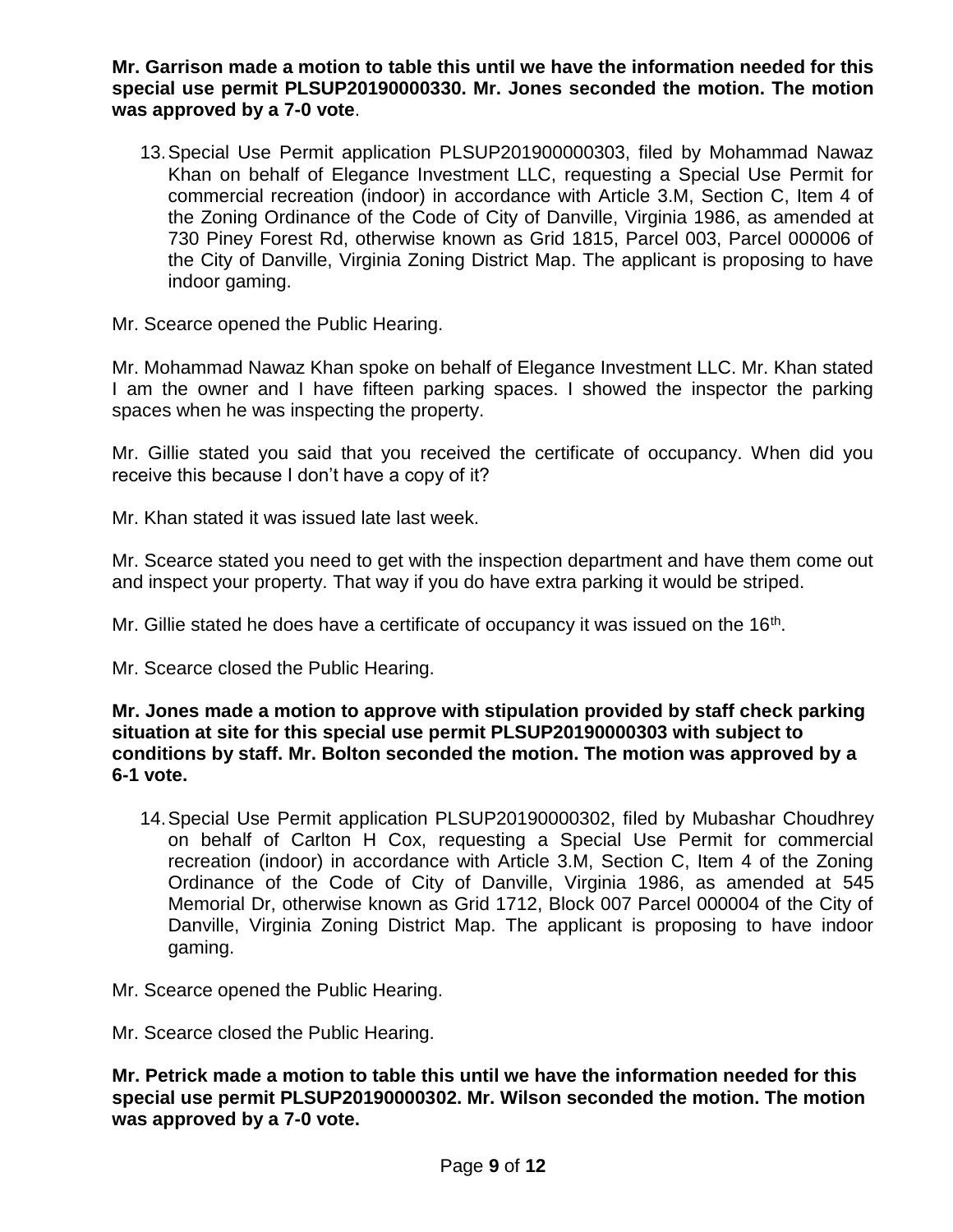**Mr. Garrison made a motion to table this until we have the information needed for this special use permit PLSUP20190000330. Mr. Jones seconded the motion. The motion was approved by a 7-0 vote**.

13.Special Use Permit application PLSUP201900000303, filed by Mohammad Nawaz Khan on behalf of Elegance Investment LLC, requesting a Special Use Permit for commercial recreation (indoor) in accordance with Article 3.M, Section C, Item 4 of the Zoning Ordinance of the Code of City of Danville, Virginia 1986, as amended at 730 Piney Forest Rd, otherwise known as Grid 1815, Parcel 003, Parcel 000006 of the City of Danville, Virginia Zoning District Map. The applicant is proposing to have indoor gaming.

Mr. Scearce opened the Public Hearing.

Mr. Mohammad Nawaz Khan spoke on behalf of Elegance Investment LLC. Mr. Khan stated I am the owner and I have fifteen parking spaces. I showed the inspector the parking spaces when he was inspecting the property.

Mr. Gillie stated you said that you received the certificate of occupancy. When did you receive this because I don't have a copy of it?

Mr. Khan stated it was issued late last week.

Mr. Scearce stated you need to get with the inspection department and have them come out and inspect your property. That way if you do have extra parking it would be striped.

Mr. Gillie stated he does have a certificate of occupancy it was issued on the 16<sup>th</sup>.

Mr. Scearce closed the Public Hearing.

**Mr. Jones made a motion to approve with stipulation provided by staff check parking situation at site for this special use permit PLSUP20190000303 with subject to conditions by staff. Mr. Bolton seconded the motion. The motion was approved by a 6-1 vote.**

14.Special Use Permit application PLSUP20190000302, filed by Mubashar Choudhrey on behalf of Carlton H Cox, requesting a Special Use Permit for commercial recreation (indoor) in accordance with Article 3.M, Section C, Item 4 of the Zoning Ordinance of the Code of City of Danville, Virginia 1986, as amended at 545 Memorial Dr, otherwise known as Grid 1712, Block 007 Parcel 000004 of the City of Danville, Virginia Zoning District Map. The applicant is proposing to have indoor gaming.

Mr. Scearce opened the Public Hearing.

Mr. Scearce closed the Public Hearing.

**Mr. Petrick made a motion to table this until we have the information needed for this special use permit PLSUP20190000302. Mr. Wilson seconded the motion. The motion was approved by a 7-0 vote.**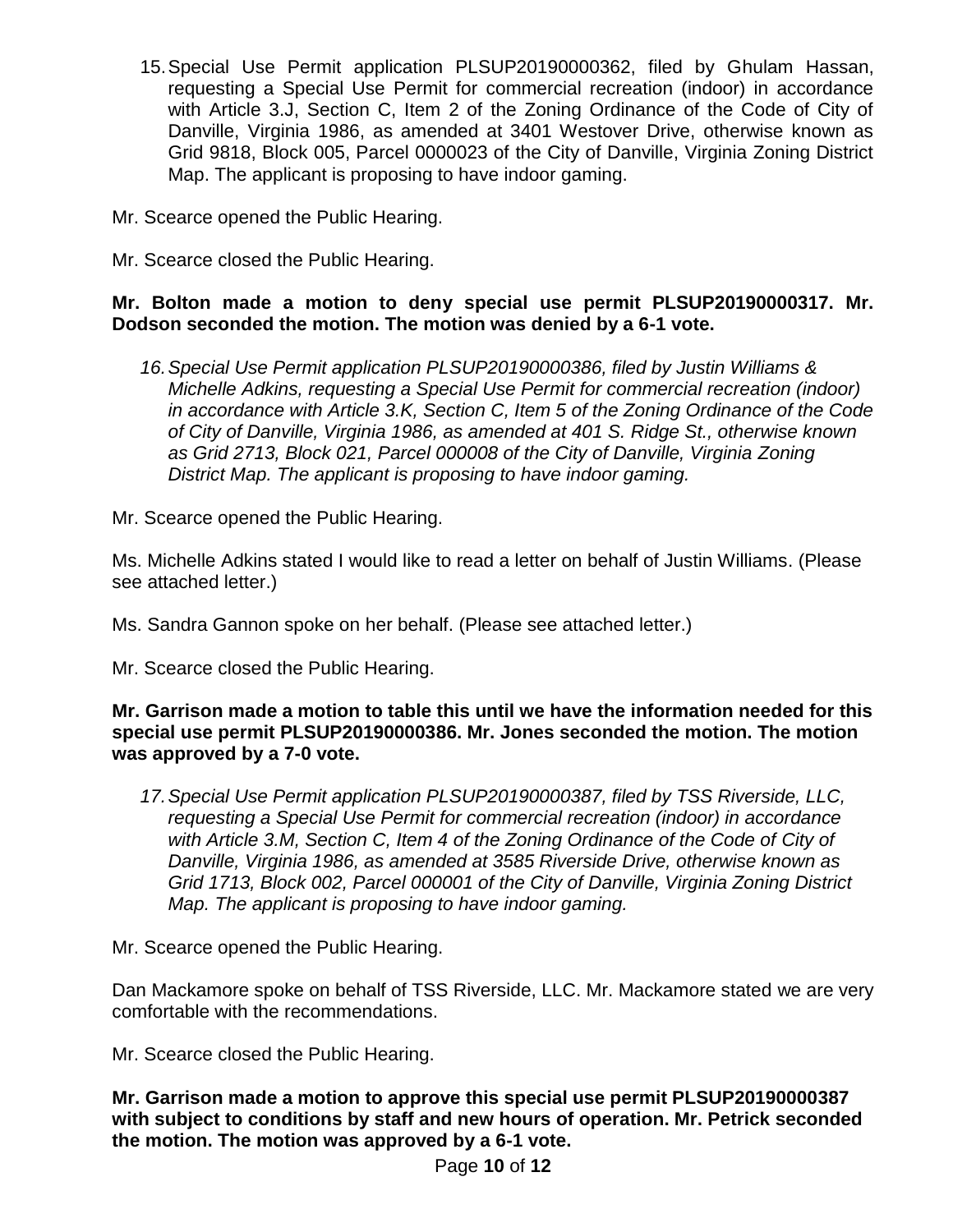- 15.Special Use Permit application PLSUP20190000362, filed by Ghulam Hassan, requesting a Special Use Permit for commercial recreation (indoor) in accordance with Article 3.J, Section C, Item 2 of the Zoning Ordinance of the Code of City of Danville, Virginia 1986, as amended at 3401 Westover Drive, otherwise known as Grid 9818, Block 005, Parcel 0000023 of the City of Danville, Virginia Zoning District Map. The applicant is proposing to have indoor gaming.
- Mr. Scearce opened the Public Hearing.
- Mr. Scearce closed the Public Hearing.

# **Mr. Bolton made a motion to deny special use permit PLSUP20190000317. Mr. Dodson seconded the motion. The motion was denied by a 6-1 vote.**

*16.Special Use Permit application PLSUP20190000386, filed by Justin Williams & Michelle Adkins, requesting a Special Use Permit for commercial recreation (indoor) in accordance with Article 3.K, Section C, Item 5 of the Zoning Ordinance of the Code of City of Danville, Virginia 1986, as amended at 401 S. Ridge St., otherwise known as Grid 2713, Block 021, Parcel 000008 of the City of Danville, Virginia Zoning District Map. The applicant is proposing to have indoor gaming.*

Mr. Scearce opened the Public Hearing.

Ms. Michelle Adkins stated I would like to read a letter on behalf of Justin Williams. (Please see attached letter.)

Ms. Sandra Gannon spoke on her behalf. (Please see attached letter.)

Mr. Scearce closed the Public Hearing.

**Mr. Garrison made a motion to table this until we have the information needed for this special use permit PLSUP20190000386. Mr. Jones seconded the motion. The motion was approved by a 7-0 vote.**

*17.Special Use Permit application PLSUP20190000387, filed by TSS Riverside, LLC, requesting a Special Use Permit for commercial recreation (indoor) in accordance with Article 3.M, Section C, Item 4 of the Zoning Ordinance of the Code of City of Danville, Virginia 1986, as amended at 3585 Riverside Drive, otherwise known as Grid 1713, Block 002, Parcel 000001 of the City of Danville, Virginia Zoning District Map. The applicant is proposing to have indoor gaming.*

Mr. Scearce opened the Public Hearing.

Dan Mackamore spoke on behalf of TSS Riverside, LLC. Mr. Mackamore stated we are very comfortable with the recommendations.

Mr. Scearce closed the Public Hearing.

**Mr. Garrison made a motion to approve this special use permit PLSUP20190000387 with subject to conditions by staff and new hours of operation. Mr. Petrick seconded the motion. The motion was approved by a 6-1 vote.**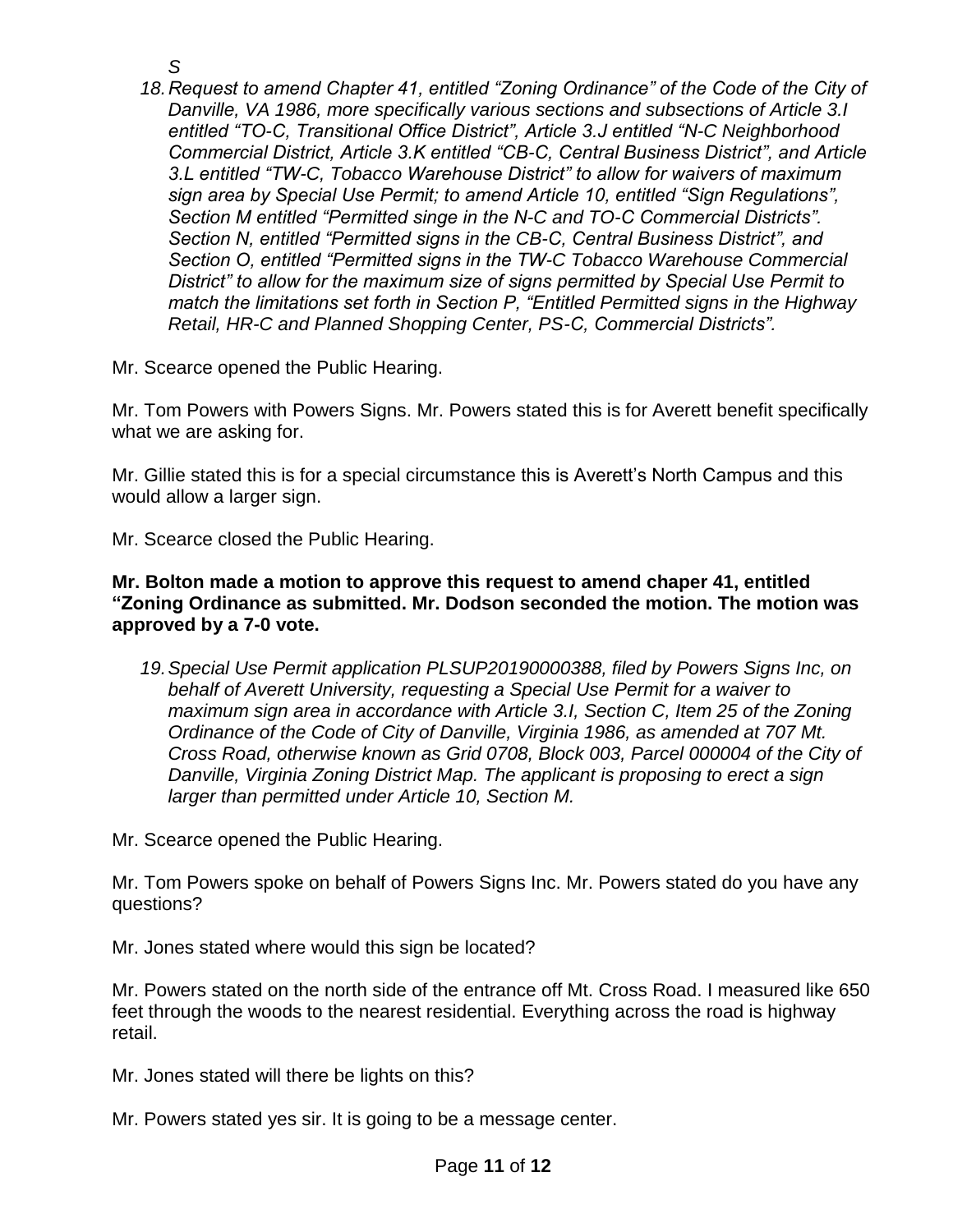- *S*
- *18.Request to amend Chapter 41, entitled "Zoning Ordinance" of the Code of the City of Danville, VA 1986, more specifically various sections and subsections of Article 3.I entitled "TO-C, Transitional Office District", Article 3.J entitled "N-C Neighborhood Commercial District, Article 3.K entitled "CB-C, Central Business District", and Article 3.L entitled "TW-C, Tobacco Warehouse District" to allow for waivers of maximum sign area by Special Use Permit; to amend Article 10, entitled "Sign Regulations", Section M entitled "Permitted singe in the N-C and TO-C Commercial Districts". Section N, entitled "Permitted signs in the CB-C, Central Business District", and Section O, entitled "Permitted signs in the TW-C Tobacco Warehouse Commercial District" to allow for the maximum size of signs permitted by Special Use Permit to match the limitations set forth in Section P, "Entitled Permitted signs in the Highway Retail, HR-C and Planned Shopping Center, PS-C, Commercial Districts".*

Mr. Scearce opened the Public Hearing.

Mr. Tom Powers with Powers Signs. Mr. Powers stated this is for Averett benefit specifically what we are asking for.

Mr. Gillie stated this is for a special circumstance this is Averett's North Campus and this would allow a larger sign.

Mr. Scearce closed the Public Hearing.

#### **Mr. Bolton made a motion to approve this request to amend chaper 41, entitled "Zoning Ordinance as submitted. Mr. Dodson seconded the motion. The motion was approved by a 7-0 vote.**

*19.Special Use Permit application PLSUP20190000388, filed by Powers Signs Inc, on behalf of Averett University, requesting a Special Use Permit for a waiver to maximum sign area in accordance with Article 3.I, Section C, Item 25 of the Zoning Ordinance of the Code of City of Danville, Virginia 1986, as amended at 707 Mt. Cross Road, otherwise known as Grid 0708, Block 003, Parcel 000004 of the City of Danville, Virginia Zoning District Map. The applicant is proposing to erect a sign larger than permitted under Article 10, Section M.*

Mr. Scearce opened the Public Hearing.

Mr. Tom Powers spoke on behalf of Powers Signs Inc. Mr. Powers stated do you have any questions?

Mr. Jones stated where would this sign be located?

Mr. Powers stated on the north side of the entrance off Mt. Cross Road. I measured like 650 feet through the woods to the nearest residential. Everything across the road is highway retail.

Mr. Jones stated will there be lights on this?

Mr. Powers stated yes sir. It is going to be a message center.